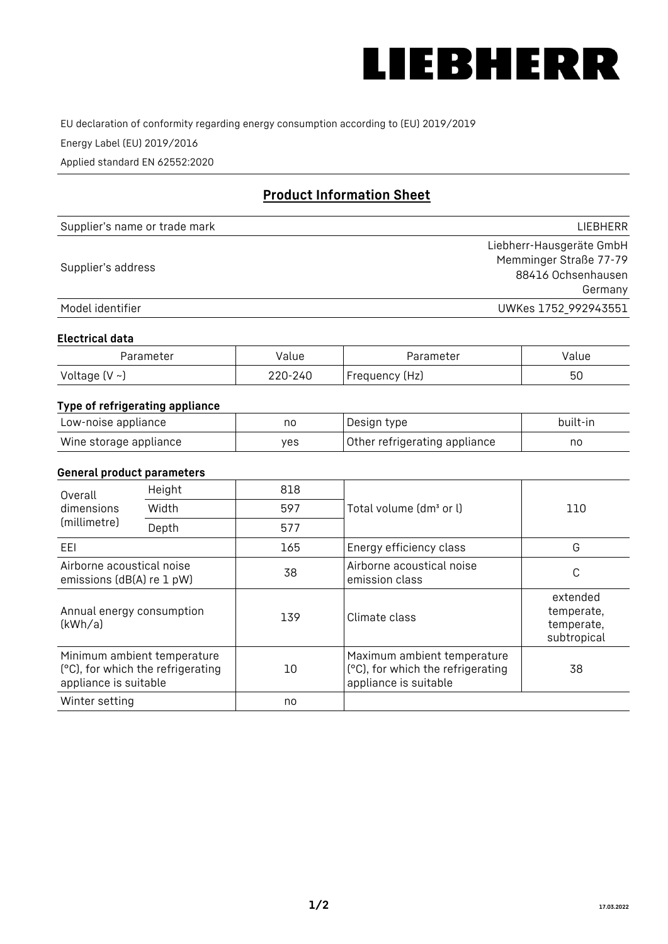

EU declaration of conformity regarding energy consumption according to (EU) 2019/2019

Energy Label (EU) 2019/2016

Applied standard EN 62552:2020

# **Product Information Sheet**

| Supplier's name or trade mark | LIEBHERR                 |
|-------------------------------|--------------------------|
|                               | Liebherr-Hausgeräte GmbH |
| Supplier's address            | Memminger Straße 77-79   |
|                               | 88416 Ochsenhausen       |
|                               | Germany                  |
| Model identifier              | UWKes 1752_992943551     |

#### **Electrical data**

| Parameter          | Value   | Parameter      | value |
|--------------------|---------|----------------|-------|
| Voltage $(V \sim)$ | 220-240 | Frequency (Hz) | 50    |

# **Type of refrigerating appliance**

| Low-noise appliance    | nc  | , Design type i               | built-in |
|------------------------|-----|-------------------------------|----------|
| Wine storage appliance | ves | Other refrigerating appliance | nc       |

### **General product parameters**

| Overall                                                | Height                                                           | 818 |                                                                                           |                                                     |  |
|--------------------------------------------------------|------------------------------------------------------------------|-----|-------------------------------------------------------------------------------------------|-----------------------------------------------------|--|
| dimensions<br>(millimetre)                             | Width                                                            | 597 | Total volume (dm <sup>3</sup> or l)                                                       | 110                                                 |  |
|                                                        | Depth                                                            | 577 |                                                                                           |                                                     |  |
| EEL                                                    |                                                                  | 165 | Energy efficiency class                                                                   | G                                                   |  |
| Airborne acoustical noise<br>emissions (dB(A) re 1 pW) |                                                                  | 38  | Airborne acoustical noise<br>emission class                                               | C                                                   |  |
| Annual energy consumption<br>(kWh/a)                   |                                                                  | 139 | Climate class                                                                             | extended<br>temperate,<br>temperate,<br>subtropical |  |
| appliance is suitable                                  | Minimum ambient temperature<br>(°C), for which the refrigerating | 10  | Maximum ambient temperature<br>(°C), for which the refrigerating<br>appliance is suitable | 38                                                  |  |
| Winter setting                                         |                                                                  | no  |                                                                                           |                                                     |  |